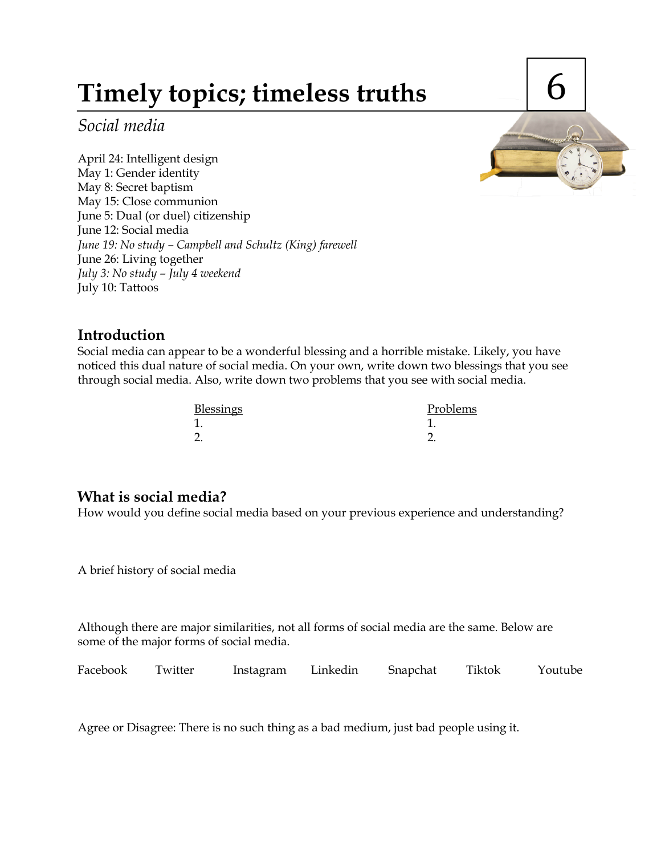# **Timely topics; timeless truths**

*Social media*

April 24: Intelligent design May 1: Gender identity May 8: Secret baptism May 15: Close communion June 5: Dual (or duel) citizenship June 12: Social media *June 19: No study – Campbell and Schultz (King) farewell* June 26: Living together *July 3: No study – July 4 weekend* July 10: Tattoos

# 6

# **Introduction**

Social media can appear to be a wonderful blessing and a horrible mistake. Likely, you have noticed this dual nature of social media. On your own, write down two blessings that you see through social media. Also, write down two problems that you see with social media.

| <b>Blessings</b> | Problems |
|------------------|----------|
| 1                |          |
| റ                |          |

# **What is social media?**

How would you define social media based on your previous experience and understanding?

A brief history of social media

Although there are major similarities, not all forms of social media are the same. Below are some of the major forms of social media.

Facebook Twitter Instagram Linkedin Snapchat Tiktok Youtube

Agree or Disagree: There is no such thing as a bad medium, just bad people using it.